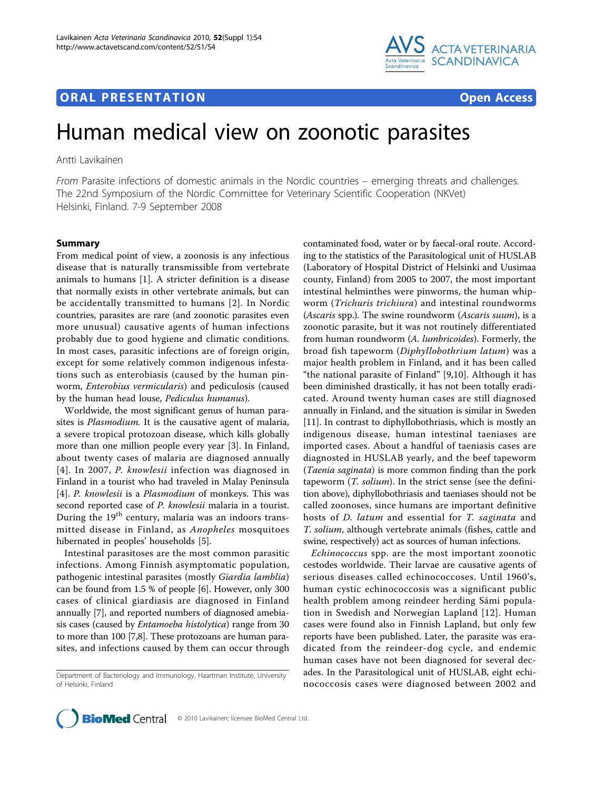# **ORAL PRESENTATION CONSUMING ACCESS**



# Human medical view on zoonotic parasites

Antti Lavikainen

From Parasite infections of domestic animals in the Nordic countries – emerging threats and challenges. The 22nd Symposium of the Nordic Committee for Veterinary Scientific Cooperation (NKVet) Helsinki, Finland. 7-9 September 2008

## Summary

From medical point of view, a zoonosis is any infectious disease that is naturally transmissible from vertebrate animals to humans [\[1](#page-1-0)]. A stricter definition is a disease that normally exists in other vertebrate animals, but can be accidentally transmitted to humans [[2](#page-1-0)]. In Nordic countries, parasites are rare (and zoonotic parasites even more unusual) causative agents of human infections probably due to good hygiene and climatic conditions. In most cases, parasitic infections are of foreign origin, except for some relatively common indigenous infestations such as enterobiasis (caused by the human pinworm, Enterobius vermicularis) and pediculosis (caused by the human head louse, Pediculus humanus).

Worldwide, the most significant genus of human parasites is Plasmodium. It is the causative agent of malaria, a severe tropical protozoan disease, which kills globally more than one million people every year [\[3\]](#page-1-0). In Finland, about twenty cases of malaria are diagnosed annually [[4\]](#page-1-0). In 2007, P. knowlesii infection was diagnosed in Finland in a tourist who had traveled in Malay Peninsula [[4\]](#page-1-0). P. knowlesii is a Plasmodium of monkeys. This was second reported case of P. knowlesii malaria in a tourist. During the  $19<sup>th</sup>$  century, malaria was an indoors transmitted disease in Finland, as Anopheles mosquitoes hibernated in peoples' households [\[5](#page-1-0)].

Intestinal parasitoses are the most common parasitic infections. Among Finnish asymptomatic population, pathogenic intestinal parasites (mostly Giardia lamblia) can be found from 1.5 % of people [\[6\]](#page-1-0). However, only 300 cases of clinical giardiasis are diagnosed in Finland annually [[7\]](#page-1-0), and reported numbers of diagnosed amebiasis cases (caused by Entamoeba histolytica) range from 30 to more than 100 [[7,8](#page-1-0)]. These protozoans are human parasites, and infections caused by them can occur through contaminated food, water or by faecal-oral route. According to the statistics of the Parasitological unit of HUSLAB (Laboratory of Hospital District of Helsinki and Uusimaa county, Finland) from 2005 to 2007, the most important intestinal helminthes were pinworms, the human whipworm (Trichuris trichiura) and intestinal roundworms (Ascaris spp.). The swine roundworm (Ascaris suum), is a zoonotic parasite, but it was not routinely differentiated from human roundworm (A. lumbricoides). Formerly, the broad fish tapeworm (Diphyllobothrium latum) was a major health problem in Finland, and it has been called "the national parasite of Finland" [\[9](#page-1-0),[10\]](#page-1-0). Although it has been diminished drastically, it has not been totally eradicated. Around twenty human cases are still diagnosed annually in Finland, and the situation is similar in Sweden [[11\]](#page-1-0). In contrast to diphyllobothriasis, which is mostly an indigenous disease, human intestinal taeniases are imported cases. About a handful of taeniasis cases are diagnosted in HUSLAB yearly, and the beef tapeworm (Taenia saginata) is more common finding than the pork tapeworm  $(T.$  solium). In the strict sense (see the definition above), diphyllobothriasis and taeniases should not be called zoonoses, since humans are important definitive hosts of *D. latum* and essential for *T. saginata* and T. solium, although vertebrate animals (fishes, cattle and swine, respectively) act as sources of human infections.

Echinococcus spp. are the most important zoonotic cestodes worldwide. Their larvae are causative agents of serious diseases called echinococcoses. Until 1960's, human cystic echinococcosis was a significant public health problem among reindeer herding Sámi population in Swedish and Norwegian Lapland [[12](#page-1-0)]. Human cases were found also in Finnish Lapland, but only few reports have been published. Later, the parasite was eradicated from the reindeer-dog cycle, and endemic human cases have not been diagnosed for several decades. In the Parasitological unit of HUSLAB, eight echinococcosis cases were diagnosed between 2002 and



Department of Bacteriology and Immunology, Haartman Institute, University of Helsinki, Finland